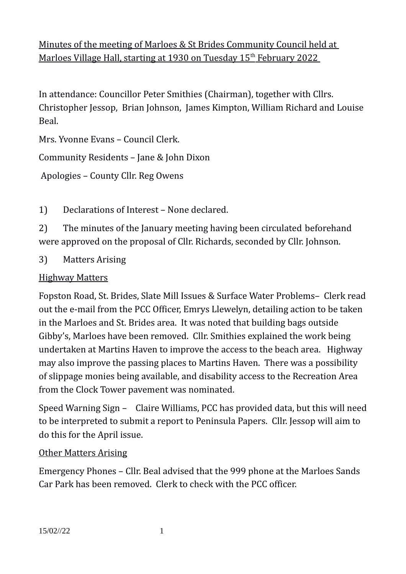Minutes of the meeting of Marloes & St Brides Community Council held at Marloes Village Hall, starting at 1930 on Tuesday 15<sup>th</sup> February 2022

In attendance: Councillor Peter Smithies (Chairman), together with Cllrs. Christopher Jessop, Brian Johnson, James Kimpton, William Richard and Louise Beal.

Mrs. Yvonne Evans – Council Clerk.

Community Residents – Jane & John Dixon

Apologies – County Cllr. Reg Owens

1) Declarations of Interest – None declared.

2) The minutes of the January meeting having been circulated beforehand were approved on the proposal of Cllr. Richards, seconded by Cllr. Johnson.

3) Matters Arising

## Highway Matters

Fopston Road, St. Brides, Slate Mill Issues & Surface Water Problems– Clerk read out the e-mail from the PCC Officer, Emrys Llewelyn, detailing action to be taken in the Marloes and St. Brides area. It was noted that building bags outside Gibby's, Marloes have been removed. Cllr. Smithies explained the work being undertaken at Martins Haven to improve the access to the beach area. Highway may also improve the passing places to Martins Haven. There was a possibility of slippage monies being available, and disability access to the Recreation Area from the Clock Tower pavement was nominated.

Speed Warning Sign – Claire Williams, PCC has provided data, but this will need to be interpreted to submit a report to Peninsula Papers. Cllr. Jessop will aim to do this for the April issue.

## Other Matters Arising

Emergency Phones – Cllr. Beal advised that the 999 phone at the Marloes Sands Car Park has been removed. Clerk to check with the PCC officer.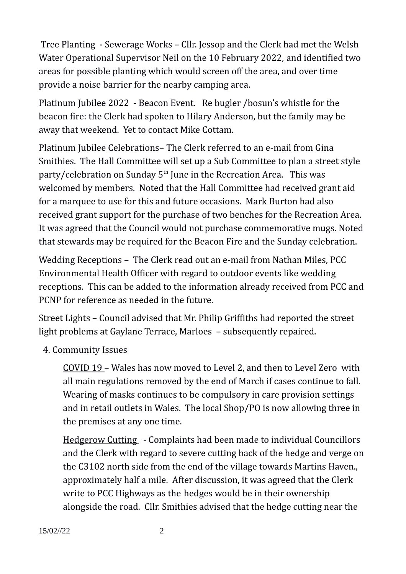Tree Planting - Sewerage Works – Cllr. Jessop and the Clerk had met the Welsh Water Operational Supervisor Neil on the 10 February 2022, and identified two areas for possible planting which would screen off the area, and over time provide a noise barrier for the nearby camping area.

Platinum Jubilee 2022 - Beacon Event. Re bugler /bosun's whistle for the beacon fire: the Clerk had spoken to Hilary Anderson, but the family may be away that weekend. Yet to contact Mike Cottam.

Platinum Jubilee Celebrations– The Clerk referred to an e-mail from Gina Smithies. The Hall Committee will set up a Sub Committee to plan a street style party/celebration on Sunday  $5<sup>th</sup>$  June in the Recreation Area. This was welcomed by members. Noted that the Hall Committee had received grant aid for a marquee to use for this and future occasions. Mark Burton had also received grant support for the purchase of two benches for the Recreation Area. It was agreed that the Council would not purchase commemorative mugs. Noted that stewards may be required for the Beacon Fire and the Sunday celebration.

Wedding Receptions – The Clerk read out an e-mail from Nathan Miles, PCC Environmental Health Officer with regard to outdoor events like wedding receptions. This can be added to the information already received from PCC and PCNP for reference as needed in the future.

Street Lights – Council advised that Mr. Philip Griffiths had reported the street light problems at Gaylane Terrace, Marloes – subsequently repaired.

4. Community Issues

COVID 19 – Wales has now moved to Level 2, and then to Level Zero with all main regulations removed by the end of March if cases continue to fall. Wearing of masks continues to be compulsory in care provision settings and in retail outlets in Wales. The local Shop/PO is now allowing three in the premises at any one time.

Hedgerow Cutting - Complaints had been made to individual Councillors and the Clerk with regard to severe cutting back of the hedge and verge on the C3102 north side from the end of the village towards Martins Haven., approximately half a mile. After discussion, it was agreed that the Clerk write to PCC Highways as the hedges would be in their ownership alongside the road. Cllr. Smithies advised that the hedge cutting near the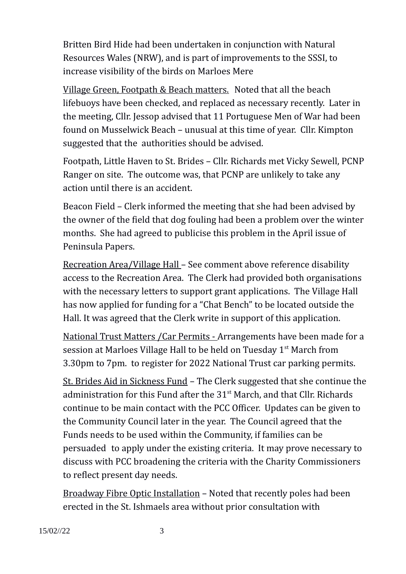Britten Bird Hide had been undertaken in conjunction with Natural Resources Wales (NRW), and is part of improvements to the SSSI, to increase visibility of the birds on Marloes Mere

Village Green, Footpath & Beach matters. Noted that all the beach lifebuoys have been checked, and replaced as necessary recently. Later in the meeting, Cllr. Jessop advised that 11 Portuguese Men of War had been found on Musselwick Beach – unusual at this time of year. Cllr. Kimpton suggested that the authorities should be advised.

Footpath, Little Haven to St. Brides – Cllr. Richards met Vicky Sewell, PCNP Ranger on site. The outcome was, that PCNP are unlikely to take any action until there is an accident.

Beacon Field – Clerk informed the meeting that she had been advised by the owner of the field that dog fouling had been a problem over the winter months. She had agreed to publicise this problem in the April issue of Peninsula Papers.

Recreation Area/Village Hall – See comment above reference disability access to the Recreation Area. The Clerk had provided both organisations with the necessary letters to support grant applications. The Village Hall has now applied for funding for a "Chat Bench" to be located outside the Hall. It was agreed that the Clerk write in support of this application.

National Trust Matters /Car Permits - Arrangements have been made for a session at Marloes Village Hall to be held on Tuesday 1<sup>st</sup> March from 3.30pm to 7pm. to register for 2022 National Trust car parking permits.

St. Brides Aid in Sickness Fund – The Clerk suggested that she continue the administration for this Fund after the  $31<sup>st</sup>$  March, and that Cllr. Richards continue to be main contact with the PCC Officer. Updates can be given to the Community Council later in the year. The Council agreed that the Funds needs to be used within the Community, if families can be persuaded to apply under the existing criteria. It may prove necessary to discuss with PCC broadening the criteria with the Charity Commissioners to reflect present day needs.

Broadway Fibre Optic Installation – Noted that recently poles had been erected in the St. Ishmaels area without prior consultation with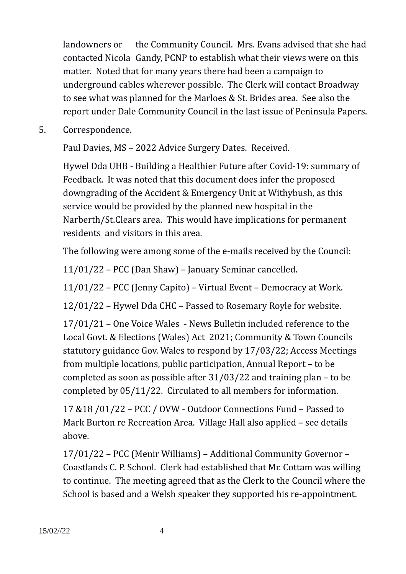landowners or the Community Council. Mrs. Evans advised that she had contacted Nicola Gandy, PCNP to establish what their views were on this matter. Noted that for many years there had been a campaign to underground cables wherever possible. The Clerk will contact Broadway to see what was planned for the Marloes & St. Brides area. See also the report under Dale Community Council in the last issue of Peninsula Papers.

5. Correspondence.

Paul Davies, MS – 2022 Advice Surgery Dates. Received.

Hywel Dda UHB - Building a Healthier Future after Covid-19: summary of Feedback. It was noted that this document does infer the proposed downgrading of the Accident & Emergency Unit at Withybush, as this service would be provided by the planned new hospital in the Narberth/St.Clears area. This would have implications for permanent residents and visitors in this area.

The following were among some of the e-mails received by the Council:

11/01/22 – PCC (Dan Shaw) – January Seminar cancelled.

11/01/22 – PCC (Jenny Capito) – Virtual Event – Democracy at Work.

12/01/22 – Hywel Dda CHC – Passed to Rosemary Royle for website.

17/01/21 – One Voice Wales - News Bulletin included reference to the Local Govt. & Elections (Wales) Act 2021; Community & Town Councils statutory guidance Gov. Wales to respond by 17/03/22; Access Meetings from multiple locations, public participation, Annual Report – to be completed as soon as possible after 31/03/22 and training plan – to be completed by 05/11/22. Circulated to all members for information.

17 &18 /01/22 – PCC / OVW - Outdoor Connections Fund – Passed to Mark Burton re Recreation Area. Village Hall also applied – see details above.

17/01/22 – PCC (Menir Williams) – Additional Community Governor – Coastlands C. P. School. Clerk had established that Mr. Cottam was willing to continue. The meeting agreed that as the Clerk to the Council where the School is based and a Welsh speaker they supported his re-appointment.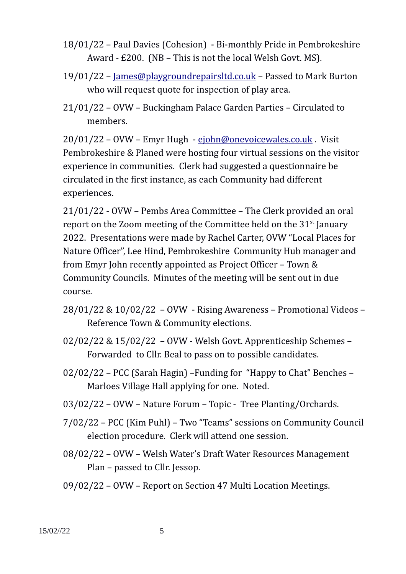- 18/01/22 Paul Davies (Cohesion) Bi-monthly Pride in Pembrokeshire Award - £200. (NB – This is not the local Welsh Govt. MS).
- 19/01/22 – [James@playgroundrepairsltd.co.uk](mailto:James@playgroundrepairsltd.co.uk)  Passed to Mark Burton who will request quote for inspection of play area.
- 21/01/22 OVW Buckingham Palace Garden Parties Circulated to members.

20/01/22 – OVW – Emyr Hugh - [ejohn@onevoicewales.co.uk](mailto:ejohn@onevoicewales.co.uk) . Visit Pembrokeshire & Planed were hosting four virtual sessions on the visitor experience in communities. Clerk had suggested a questionnaire be circulated in the first instance, as each Community had different experiences.

21/01/22 - OVW – Pembs Area Committee – The Clerk provided an oral report on the Zoom meeting of the Committee held on the  $31<sup>st</sup>$  January 2022. Presentations were made by Rachel Carter, OVW "Local Places for Nature Officer", Lee Hind, Pembrokeshire Community Hub manager and from Emyr John recently appointed as Project Officer – Town & Community Councils. Minutes of the meeting will be sent out in due course.

- 28/01/22 & 10/02/22 OVW Rising Awareness Promotional Videos Reference Town & Community elections.
- 02/02/22 & 15/02/22 OVW Welsh Govt. Apprenticeship Schemes Forwarded to Cllr. Beal to pass on to possible candidates.
- 02/02/22 PCC (Sarah Hagin) –Funding for "Happy to Chat" Benches Marloes Village Hall applying for one. Noted.
- 03/02/22 OVW Nature Forum Topic Tree Planting/Orchards.
- 7/02/22 PCC (Kim Puhl) Two "Teams" sessions on Community Council election procedure. Clerk will attend one session.
- 08/02/22 OVW Welsh Water's Draft Water Resources Management Plan – passed to Cllr. Jessop.
- 09/02/22 OVW Report on Section 47 Multi Location Meetings.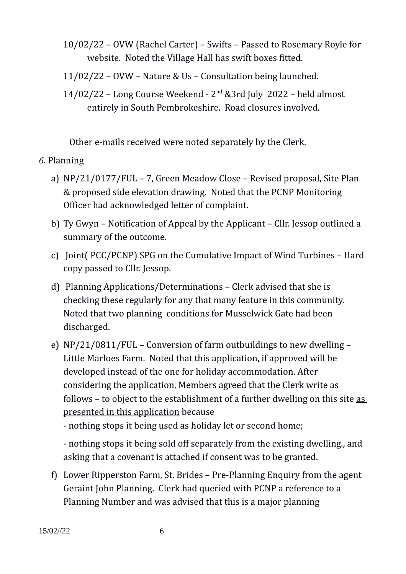- 10/02/22 OVW (Rachel Carter) Swifts Passed to Rosemary Royle for website. Noted the Village Hall has swift boxes fitted.
- 11/02/22 OVW Nature & Us Consultation being launched.
- $14/02/22$  Long Course Weekend  $2<sup>nd</sup>$  &3rd July 2022 held almost entirely in South Pembrokeshire. Road closures involved.

Other e-mails received were noted separately by the Clerk.

## *6.* Planning

- a) NP/21/0177/FUL 7, Green Meadow Close Revised proposal, Site Plan & proposed side elevation drawing. Noted that the PCNP Monitoring Officer had acknowledged letter of complaint.
- b) Ty Gwyn Notification of Appeal by the Applicant Cllr. Jessop outlined a summary of the outcome.
- c) Joint( PCC/PCNP) SPG on the Cumulative Impact of Wind Turbines Hard copy passed to Cllr. Jessop.
- d) Planning Applications/Determinations Clerk advised that she is checking these regularly for any that many feature in this community. Noted that two planning conditions for Musselwick Gate had been discharged.
- e) NP/21/0811/FUL Conversion of farm outbuildings to new dwelling Little Marloes Farm. Noted that this application, if approved will be developed instead of the one for holiday accommodation. After considering the application, Members agreed that the Clerk write as follows – to object to the establishment of a further dwelling on this site as presented in this application because

- nothing stops it being used as holiday let or second home;

- nothing stops it being sold off separately from the existing dwelling., and asking that a covenant is attached if consent was to be granted.

f) Lower Ripperston Farm, St. Brides – Pre-Planning Enquiry from the agent Geraint John Planning. Clerk had queried with PCNP a reference to a Planning Number and was advised that this is a major planning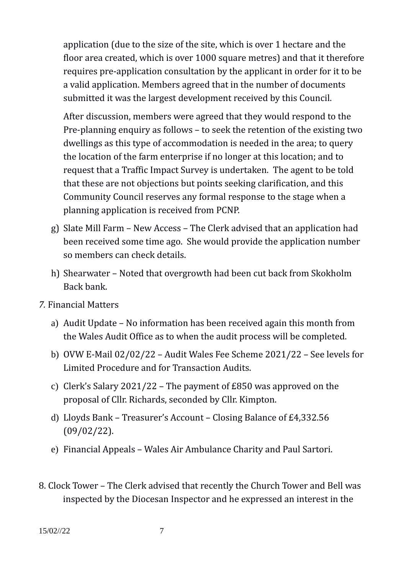application (due to the size of the site, which is over 1 hectare and the floor area created, which is over 1000 square metres) and that it therefore requires pre-application consultation by the applicant in order for it to be a valid application. Members agreed that in the number of documents submitted it was the largest development received by this Council.

After discussion, members were agreed that they would respond to the Pre-planning enquiry as follows – to seek the retention of the existing two dwellings as this type of accommodation is needed in the area; to query the location of the farm enterprise if no longer at this location; and to request that a Traffic Impact Survey is undertaken. The agent to be told that these are not objections but points seeking clarification, and this Community Council reserves any formal response to the stage when a planning application is received from PCNP.

- g) Slate Mill Farm New Access The Clerk advised that an application had been received some time ago. She would provide the application number so members can check details.
- h) Shearwater Noted that overgrowth had been cut back from Skokholm Back bank.
- *7.* Financial Matters
	- a) Audit Update No information has been received again this month from the Wales Audit Office as to when the audit process will be completed.
	- b) OVW E-Mail 02/02/22 Audit Wales Fee Scheme 2021/22 See levels for Limited Procedure and for Transaction Audits.
	- c) Clerk's Salary 2021/22 The payment of £850 was approved on the proposal of Cllr. Richards, seconded by Cllr. Kimpton.
	- d) Lloyds Bank Treasurer's Account Closing Balance of £4,332.56 (09/02/22).
	- e) Financial Appeals Wales Air Ambulance Charity and Paul Sartori.
- 8. Clock Tower The Clerk advised that recently the Church Tower and Bell was inspected by the Diocesan Inspector and he expressed an interest in the